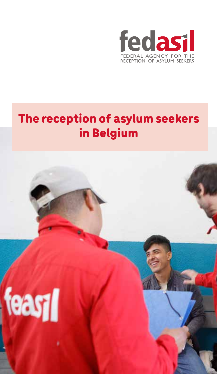

### The reception of asylum seekers in Belgium

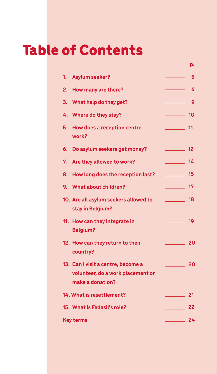### Table of Contents

| 1.               | <b>Asylum seeker?</b>                                                                       | 5   |
|------------------|---------------------------------------------------------------------------------------------|-----|
| 2.               | How many are there?                                                                         | 6   |
| 3.               | What help do they get?                                                                      | 9   |
| 4.               | Where do they stay?                                                                         | 10  |
| 5.               | How does a reception centre<br>work?                                                        | 11  |
| 6.               | Do asylum seekers get money?                                                                | 12  |
| 7.               | Are they allowed to work?                                                                   | 14  |
| 8.               | How long does the reception last?                                                           | 15  |
| 9.               | <b>What about children?</b>                                                                 | 17  |
|                  | 10. Are all asylum seekers allowed to<br>stay in Belgium?                                   | 18  |
| 11.              | How can they integrate in<br><b>Belgium?</b>                                                | 19  |
|                  | 12. How can they return to their<br>country?                                                | 20  |
|                  | 13. Can I visit a centre, become a<br>volunteer, do a work placement or<br>make a donation? | -20 |
|                  | 14. What is resettlement?                                                                   | 21  |
|                  | 15. What is Fedasil's role?                                                                 | 22  |
| <b>Key terms</b> |                                                                                             | 24  |

**p.**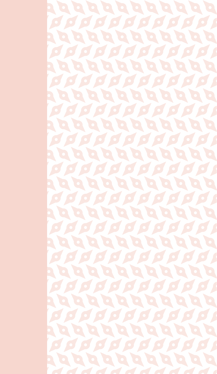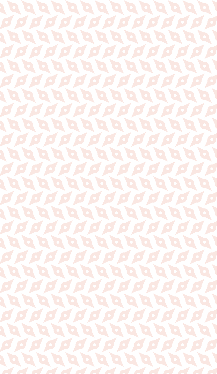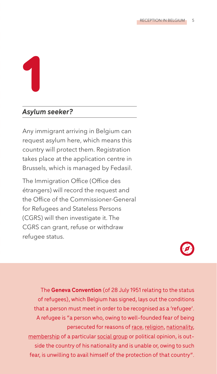## 1

### *Asylum seeker?*

Any immigrant arriving in Belgium can request asylum here, which means this country will protect them. Registration takes place at the application centre in Brussels, which is managed by Fedasil.

The Immigration Office (Office des étrangers) will record the request and the Office of the Commissioner-General for Refugees and Stateless Persons (CGRS) will then investigate it. The CGRS can grant, refuse or withdraw refugee status.



The **Geneva Convention** (of 28 July 1951 relating to the status of refugees), which Belgium has signed, lays out the conditions that a person must meet in order to be recognised as a 'refugee'. A refugee is "a person who, owing to well-founded fear of being persecuted for reasons of race, religion, nationality, membership of a particular social group or political opinion, is outside the country of his nationality and is unable or, owing to such fear, is unwilling to avail himself of the protection of that country".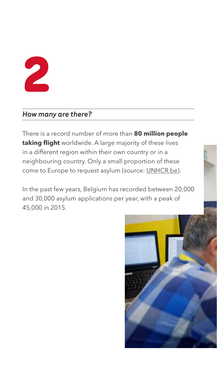

### *How many are there?*

There is a record number of more than **80 million people taking flight** worldwide. A large majority of these lives in a different region within their own country or in a neighbouring country. Only a small proportion of these come to Europe to request asylum (source: UNHCR.be).

In the past few years, Belgium has recorded between 20,000 and 30,000 asylum applications per year, with a peak of 45,000 in 2015.

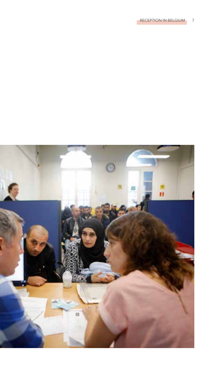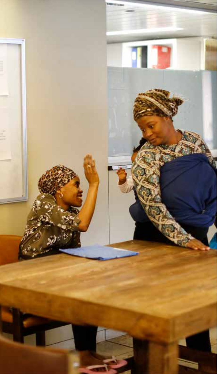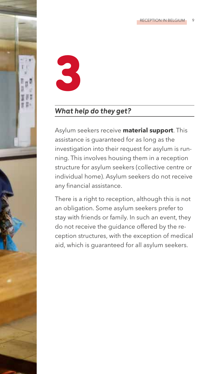

### *What help do they get?*

Asylum seekers receive **material support**. This assistance is guaranteed for as long as the investigation into their request for asylum is running. This involves housing them in a reception structure for asylum seekers (collective centre or individual home). Asylum seekers do not receive any financial assistance.

There is a right to reception, although this is not an obligation. Some asylum seekers prefer to stay with friends or family. In such an event, they do not receive the guidance offered by the reception structures, with the exception of medical aid, which is guaranteed for all asylum seekers.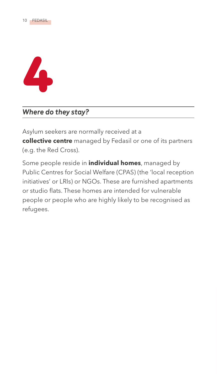

### *Where do they stay?*

Asylum seekers are normally received at a **collective centre** managed by Fedasil or one of its partners (e.g. the Red Cross).

Some people reside in **individual homes**, managed by Public Centres for Social Welfare (CPAS) (the 'local reception initiatives' or LRIs) or NGOs. These are furnished apartments or studio flats. These homes are intended for vulnerable people or people who are highly likely to be recognised as refugees.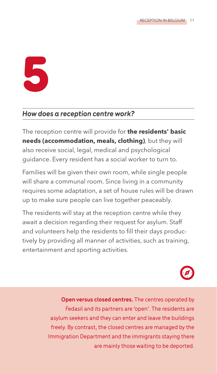## 5

### *How does a reception centre work?*

The reception centre will provide for **the residents' basic needs (accommodation, meals, clothing)**, but they will also receive social, legal, medical and psychological guidance. Every resident has a social worker to turn to.

Families will be given their own room, while single people will share a communal room. Since living in a community requires some adaptation, a set of house rules will be drawn up to make sure people can live together peaceably.

The residents will stay at the reception centre while they await a decision regarding their request for asylum. Staff and volunteers help the residents to fill their days productively by providing all manner of activities, such as training, entertainment and sporting activities.



**Open versus closed centres.** The centres operated by Fedasil and its partners are 'open'. The residents are asylum seekers and they can enter and leave the buildings freely. By contrast, the closed centres are managed by the Immigration Department and the immigrants staying there are mainly those waiting to be deported.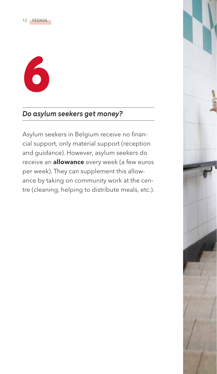

### *Do asylum seekers get money?*

Asylum seekers in Belgium receive no financial support, only material support (reception and guidance). However, asylum seekers do receive an **allowance** every week (a few euros per week). They can supplement this allowance by taking on community work at the centre (cleaning, helping to distribute meals, etc.).

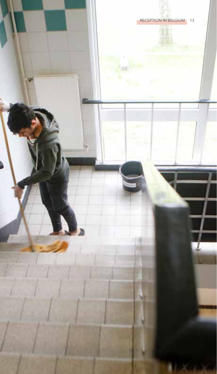l,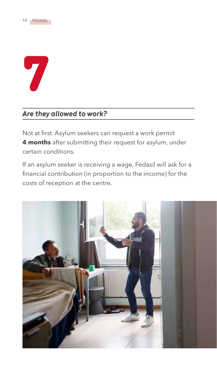

### *Are they allowed to work?*

Not at first. Asylum seekers can request a work permit **4 months** after submitting their request for asylum, under certain conditions.

If an asylum seeker is receiving a wage, Fedasil will ask for a financial contribution (in proportion to the income) for the costs of reception at the centre.

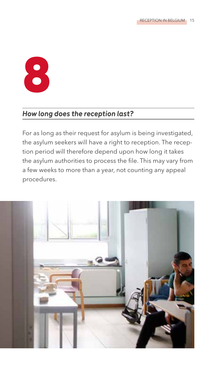

### *How long does the reception last?*

For as long as their request for asylum is being investigated, the asylum seekers will have a right to reception. The reception period will therefore depend upon how long it takes the asylum authorities to process the file. This may vary from a few weeks to more than a year, not counting any appeal procedures.

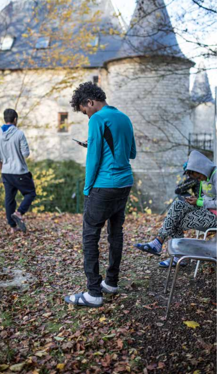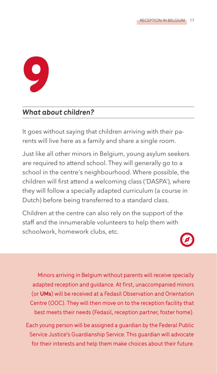

### *What about children?*

It goes without saying that children arriving with their parents will live here as a family and share a single room.

Just like all other minors in Belgium, young asylum seekers are required to attend school. They will generally go to a school in the centre's neighbourhood. Where possible, the children will first attend a welcoming class ('DASPA'), where they will follow a specially adapted curriculum (a course in Dutch) before being transferred to a standard class.

Children at the centre can also rely on the support of the staff and the innumerable volunteers to help them with schoolwork, homework clubs, etc.



Minors arriving in Belgium without parents will receive specially adapted reception and guidance. At first, unaccompanied minors (or **UMs**) will be received at a Fedasil Observation and Orientation Centre (OOC). They will then move on to the reception facility that best meets their needs (Fedasil, reception partner, foster home).

Each young person will be assigned a guardian by the Federal Public Service Justice's Guardianship Service. This guardian will advocate for their interests and help them make choices about their future.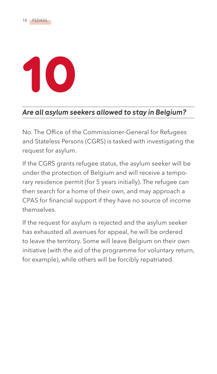### 10

### *Are all asylum seekers allowed to stay in Belgium?*

No. The Office of the Commissioner-General for Refugees and Stateless Persons (CGRS) is tasked with investigating the request for asylum.

If the CGRS grants refugee status, the asylum seeker will be under the protection of Belgium and will receive a temporary residence permit (for 5 years initially). The refugee can then search for a home of their own, and may approach a CPAS for financial support if they have no source of income themselves.

If the request for asylum is rejected and the asylum seeker has exhausted all avenues for appeal, he will be ordered to leave the territory. Some will leave Belgium on their own initiative (with the aid of the programme for voluntary return, for example), while others will be forcibly repatriated.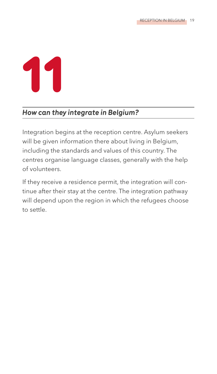

### *How can they integrate in Belgium?*

Integration begins at the reception centre. Asylum seekers will be given information there about living in Belgium, including the standards and values of this country. The centres organise language classes, generally with the help of volunteers.

If they receive a residence permit, the integration will continue after their stay at the centre. The integration pathway will depend upon the region in which the refugees choose to settle.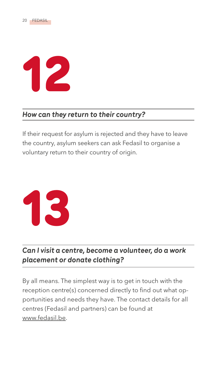

### *How can they return to their country?*

If their request for asylum is rejected and they have to leave the country, asylum seekers can ask Fedasil to organise a voluntary return to their country of origin.



### *Can I visit a centre, become a volunteer, do a work placement or donate clothing?*

By all means. The simplest way is to get in touch with the reception centre(s) concerned directly to find out what opportunities and needs they have. The contact details for all centres (Fedasil and partners) can be found at www.fedasil.be.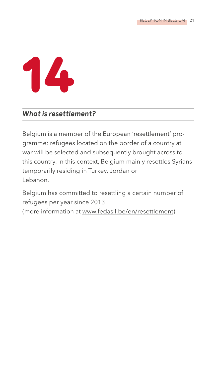

### *What is resettlement?*

Belgium is a member of the European 'resettlement' programme: refugees located on the border of a country at war will be selected and subsequently brought across to this country. In this context, Belgium mainly resettles Syrians temporarily residing in Turkey, Jordan or Lebanon.

Belgium has committed to resettling a certain number of refugees per year since 2013 (more information at www.fedasil.be/en/resettlement).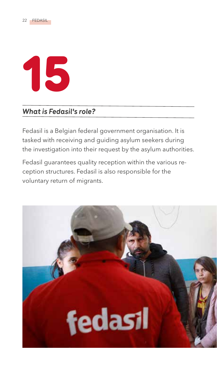

### *What is Fedasil's role?*

Fedasil is a Belgian federal government organisation. It is tasked with receiving and guiding asylum seekers during the investigation into their request by the asylum authorities.

Fedasil guarantees quality reception within the various reception structures. Fedasil is also responsible for the voluntary return of migrants.

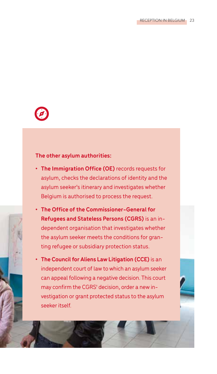

### **The other asylum authorities:**

- **• The Immigration Office (OE)** records requests for asylum, checks the declarations of identity and the asylum seeker's itinerary and investigates whether Belgium is authorised to process the request.
- **• The Office of the Commissioner-General for Refugees and Stateless Persons (CGRS)** is an independent organisation that investigates whether the asylum seeker meets the conditions for granting refugee or subsidiary protection status.
- **• The Council for Aliens Law Litigation (CCE)** is an independent court of law to which an asylum seeker can appeal following a negative decision. This court may confirm the CGRS' decision, order a new investigation or grant protected status to the asylum seeker itself.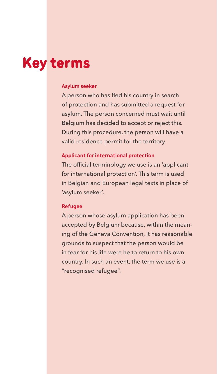### Key terms

### **Asylum seeker**

A person who has fled his country in search of protection and has submitted a request for asylum. The person concerned must wait until Belgium has decided to accept or reject this. During this procedure, the person will have a valid residence permit for the territory.

### **Applicant for international protection**

The official terminology we use is an 'applicant for international protection'. This term is used in Belgian and European legal texts in place of 'asylum seeker'.

### **Refugee**

A person whose asylum application has been accepted by Belgium because, within the meaning of the Geneva Convention, it has reasonable grounds to suspect that the person would be in fear for his life were he to return to his own country. In such an event, the term we use is a "recognised refugee".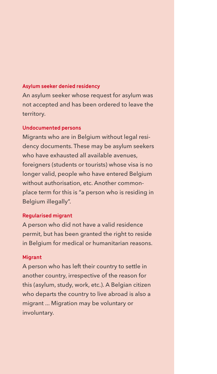### **Asylum seeker denied residency**

An asylum seeker whose request for asylum was not accepted and has been ordered to leave the territory.

### **Undocumented persons**

Migrants who are in Belgium without legal residency documents. These may be asylum seekers who have exhausted all available avenues. foreigners (students or tourists) whose visa is no longer valid, people who have entered Belgium without authorisation, etc. Another commonplace term for this is "a person who is residing in Belgium illegally".

### **Regularised migrant**

A person who did not have a valid residence permit, but has been granted the right to reside in Belgium for medical or humanitarian reasons.

### **Migrant**

A person who has left their country to settle in another country, irrespective of the reason for this (asylum, study, work, etc.). A Belgian citizen who departs the country to live abroad is also a migrant ... Migration may be voluntary or involuntary.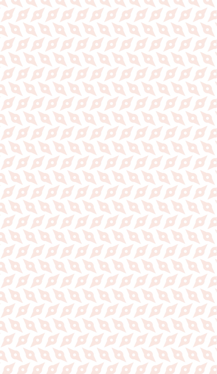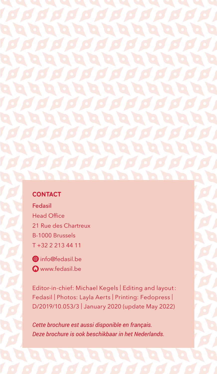### **CONTACT**

Fedasil Head Office 21 Rue des Chartreux B-1000 Brussels

T +32 2 213 44 11

 info@fedasil.be **Q** www.fedasil.be

Editor-in-chief: Michael Kegels | Editing and layout: Fedasil | Photos: Layla Aerts | Printing: Fedopress | D/2019/10.053/3 | January 2020 (update May 2022)

*Cette brochure est aussi disponible en français. Deze brochure is ook beschikbaar in het Nederlands.*